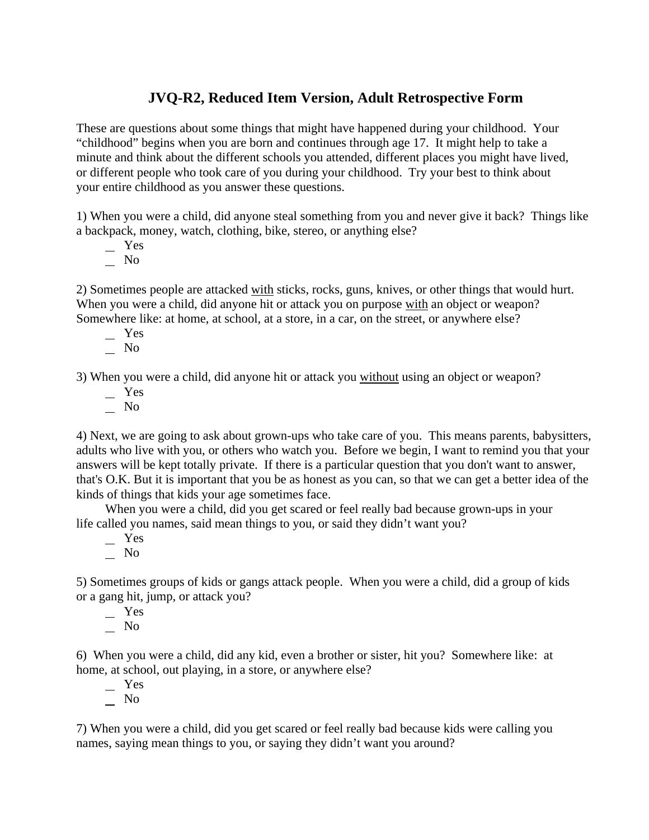## **JVQ-R2, Reduced Item Version, Adult Retrospective Form**

These are questions about some things that might have happened during your childhood. Your "childhood" begins when you are born and continues through age 17. It might help to take a minute and think about the different schools you attended, different places you might have lived, or different people who took care of you during your childhood. Try your best to think about your entire childhood as you answer these questions.

1) When you were a child, did anyone steal something from you and never give it back? Things like a backpack, money, watch, clothing, bike, stereo, or anything else?

- Yes
- $\overline{\phantom{0}}$  No

2) Sometimes people are attacked with sticks, rocks, guns, knives, or other things that would hurt. When you were a child, did anyone hit or attack you on purpose with an object or weapon? Somewhere like: at home, at school, at a store, in a car, on the street, or anywhere else?

- Yes
- $\overline{\phantom{0}}$  No

3) When you were a child, did anyone hit or attack you without using an object or weapon?

- Yes
- No

4) Next, we are going to ask about grown-ups who take care of you. This means parents, babysitters, adults who live with you, or others who watch you. Before we begin, I want to remind you that your answers will be kept totally private. If there is a particular question that you don't want to answer, that's O.K. But it is important that you be as honest as you can, so that we can get a better idea of the kinds of things that kids your age sometimes face.

When you were a child, did you get scared or feel really bad because grown-ups in your life called you names, said mean things to you, or said they didn't want you?

 Yes  $\overline{\phantom{0}}$  No

5) Sometimes groups of kids or gangs attack people. When you were a child, did a group of kids or a gang hit, jump, or attack you?

 Yes  $\overline{\phantom{0}}$  No

6) When you were a child, did any kid, even a brother or sister, hit you? Somewhere like: at home, at school, out playing, in a store, or anywhere else?

 Yes  $\overline{\phantom{0}}$  No

7) When you were a child, did you get scared or feel really bad because kids were calling you names, saying mean things to you, or saying they didn't want you around?